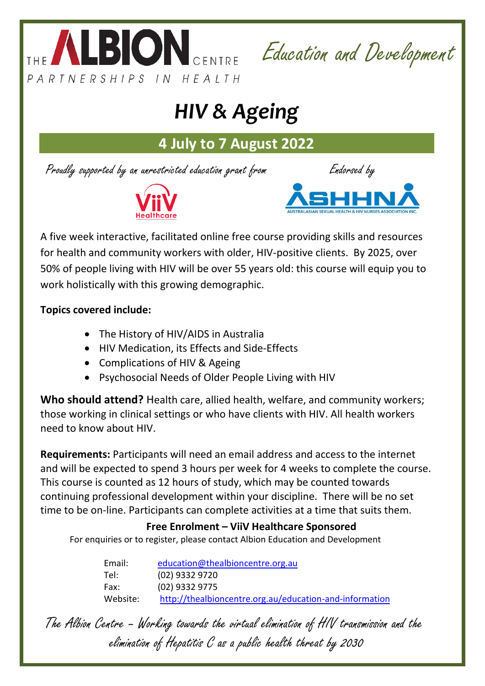

Education and Development

# *HIV & Ageing*

**4 July to 7 August 2022**

Proudly supported by an unrestricted education grant from Endorsed by





A five week interactive, facilitated online free course providing skills and resources for health and community workers with older, HIV-positive clients. By 2025, over 50% of people living with HIV will be over 55 years old: this course will equip you to work holistically with this growing demographic.

## **Topics covered include:**

- The History of HIV/AIDS in Australia
- HIV Medication, its Effects and Side-Effects
- Complications of HIV & Ageing
- Psychosocial Needs of Older People Living with HIV

**Who should attend?** Health care, allied health, welfare, and community workers; those working in clinical settings or who have clients with HIV. All health workers need to know about HIV.

**Requirements:** Participants will need an email address and access to the internet and will be expected to spend 3 hours per week for 4 weeks to complete the course. This course is counted as 12 hours of study, which may be counted towards continuing professional development within your discipline. There will be no set time to be on-line. Participants can complete activities at a time that suits them.

## **Free Enrolment – ViiV Healthcare Sponsored**

For enquiries or to register, please contact Albion Education and Development

Email: [education@thealbioncentre.org.au](mailto:education@thealbioncentre.org.au)  Tel: (02) 9332 9720 Fax: (02) 9332 9775 Website: <http://thealbioncentre.org.au/education-and-information>

The Albion Centre – Working towards the virtual elimination of HIV transmission and the elimination of Hepatitis C as a public health threat by 2030